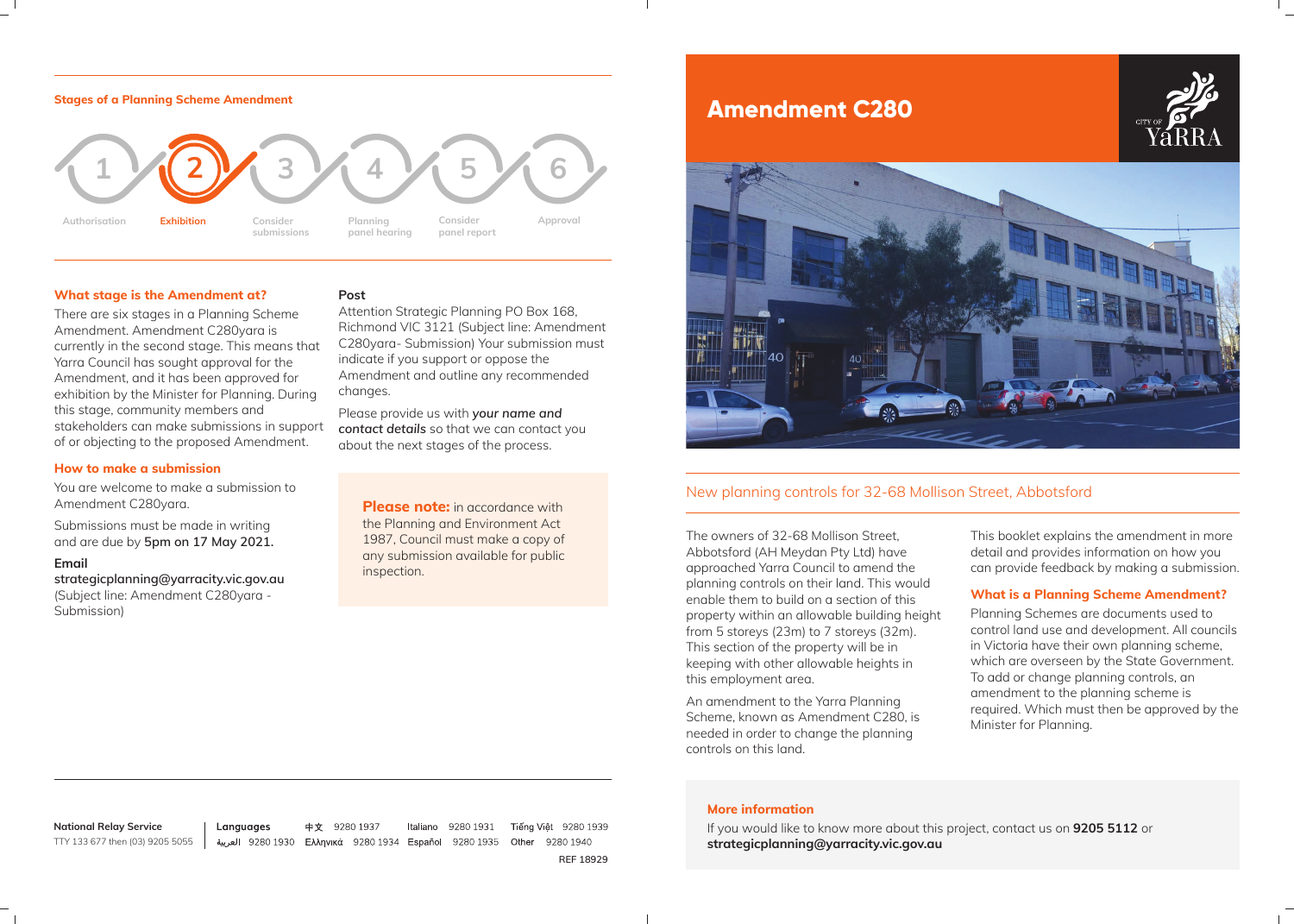The owners of 32-68 Mollison Street, Abbotsford (AH Meydan Pty Ltd) have approached Yarra Council to amend the planning controls on their land. This would enable them to build on a section of this property within an allowable building height from 5 storeys (23m) to 7 storeys (32m). This section of the property will be in keeping with other allowable heights in this employment area.

An amendment to the Yarra Planning Scheme, known as Amendment C280, is needed in order to change the planning controls on this land.

This booklet explains the amendment in more detail and provides information on how you can provide feedback by making a submission.

## **What is a Planning Scheme Amendment?**

Planning Schemes are documents used to control land use and development. All councils in Victoria have their own planning scheme, which are overseen by the State Government. To add or change planning controls, an amendment to the planning scheme is required. Which must then be approved by the Minister for Planning.

# **Amendment C280**



**Italiano** 9280 1931 Tiếng Việt 9280 1939 9280 1940 **REF 18929**



#### **What stage is the Amendment at?**

**Please note:** in accordance with the Planning and Environment Act 1987, Council must make a copy of any submission available for public inspection.

There are six stages in a Planning Scheme Amendment. Amendment C280yara is currently in the second stage. This means that Yarra Council has sought approval for the Amendment, and it has been approved for exhibition by the Minister for Planning. During this stage, community members and stakeholders can make submissions in support of or objecting to the proposed Amendment.

#### **How to make a submission**

You are welcome to make a submission to Amendment C280yara.

Submissions must be made in writing and are due by **5pm on 17 May 2021.** 

**Email** 

**strategicplanning@yarracity.vic.gov.au**  (Subject line: Amendment C280yara - Submission)

#### **Post**

Attention Strategic Planning PO Box 168, Richmond VIC 3121 (Subject line: Amendment C280yara- Submission) Your submission must indicate if you support or oppose the Amendment and outline any recommended changes.

Please provide us with *your name and contact details* so that we can contact you about the next stages of the process.

**National Relay Service** TTY 133 677 then (03) 9205 5055

Languages

中文 9280 1937 العربية 9280 9280 Ελληνικά 9280 1934 Español 9280 1935 Other

#### **More information**

If you would like to know more about this project, contact us on **9205 5112** or **strategicplanning@yarracity.vic.gov.au**

## New planning controls for 32-68 Mollison Street, Abbotsford



#### **Stages of a Planning Scheme Amendment**